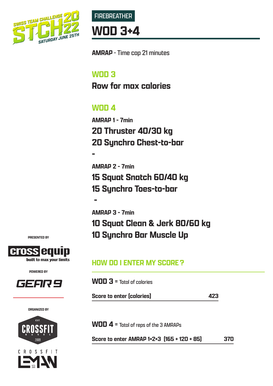



## **AMRAP** - Time cap 21 minutes

## **WOD 3**

**Row for max calories**

# **WOD 4**

 **-**

**AMRAP 1 - 7min 20 Thruster 40/30 kg 20 Synchro Chest-to-bar -**

**AMRAP 2 - 7min 15 Squat Snatch 60/40 kg 15 Synchro Toes-to-bar**

**AMRAP 3 - 7min 10 Squat Clean & Jerk 80/60 kg 10 Synchro Bar Muscle Up**

## **HOW DO I ENTER MY SCORE?**

 $WOD 3 = \text{Total of collaries}$ 

**Score to enter (calories) 423**



**WOD 4** = Total of reps of the 3 AMRAPs

**Score to enter AMRAP 1+2+3 (165 + 120 + 85) 370**

**PRESENTED BY**



**POWERED BY**



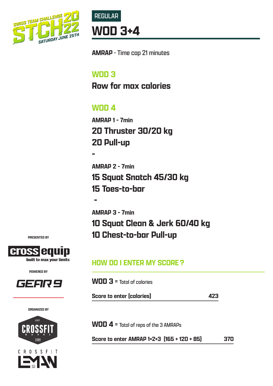



## **AMRAP** - Time cap 21 minutes

## **WOD 3**

**Row for max calories**

# **WOD 4**

**AMRAP 1 - 7min 20 Thruster 30/20 kg 20 Pull-up** 

**-**

 **-**

**AMRAP 2 - 7min 15 Squat Snatch 45/30 kg 15 Toes-to-bar**

**AMRAP 3 - 7min 10 Squat Clean & Jerk 60/40 kg 10 Chest-to-bar Pull-up**

## **HOW DO I ENTER MY SCORE?**

 $WOD 3 = \text{Total of collaries}$ 

**Score to enter (calories) 423**



**WOD 4** = Total of reps of the 3 AMRAPs

**Score to enter AMRAP 1+2+3 (165 + 120 + 85) 370**

**PRESENTED BY**



**POWERED BY**

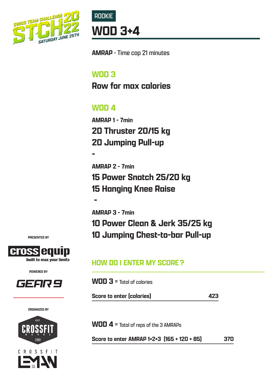



## **AMRAP** - Time cap 21 minutes

## **WOD 3**

**Row for max calories**

# **WOD 4**

**-**

 **-**

**AMRAP 1 - 7min 20 Thruster 20/15 kg 20 Jumping Pull-up** 

**AMRAP 2 - 7min 15 Power Snatch 25/20 kg 15 Hanging Knee Raise**

**AMRAP 3 - 7min 10 Power Clean & Jerk 35/25 kg 10 Jumping Chest-to-bar Pull-up**

## **HOW DO I ENTER MY SCORE?**

 $WOD 3 = \text{Total of collaries}$ 

**Score to enter (calories) 423**



**WOD 4** = Total of reps of the 3 AMRAPs

**Score to enter AMRAP 1+2+3 (165 + 120 + 85) 370**

**PRESENTED BY**



**POWERED BY**



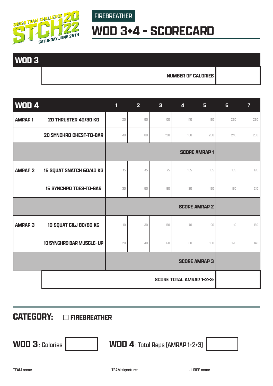



**WOD 3+4 - SCORECARD**

# **WOD 3**

#### **NUMBER OF CALORIES**

| $WDD$ <sup>4</sup> |                                | $\blacksquare$                  | 2 <sup>1</sup> | $\overline{\mathbf{3}}$ | $\overline{\mathbf{4}}$ | 5       | 6           | $\overline{7}$ |
|--------------------|--------------------------------|---------------------------------|----------------|-------------------------|-------------------------|---------|-------------|----------------|
| <b>AMRAP1</b>      | <b>20 THRUSTER 40/30 KG</b>    | 20                              | 60             | 100                     | 140                     | 180     | 220         | 260            |
|                    | <b>20 SYNCHRO CHEST-TO-BAR</b> | 40                              | 80             | 120                     | 160                     | 200     | 240         | 280            |
|                    |                                |                                 |                |                         |                         |         |             |                |
| <b>AMRAP 2</b>     | 15 SQUAT SNATCH 60/40 KG       | 15                              | 45             | 75                      | 105                     | 135     | 165         | 195            |
|                    | <b>15 SYNCHRO TOES-TO-BAR</b>  | 30                              | 60             | 90                      | 120                     | 150     | 180         | 210            |
|                    |                                |                                 |                |                         |                         |         |             |                |
| <b>AMRAP3</b>      | 10 SQUAT C&J 80/60 KG          | $1\Box$                         | 30             | 50                      | 70                      | 90      | $11\square$ | 130            |
|                    | 10 SYNCHRO BAR MUSCLE- UP      | 20                              | $4\square$     | 60                      | $_{\rm 80}$             | $100\,$ | 120         | 140            |
|                    |                                | <b>SCORE AMRAP 3</b>            |                |                         |                         |         |             |                |
|                    |                                | <b>SCORE TOTAL AMRAP 1+2+3:</b> |                |                         |                         |         |             |                |

## **CATEGORY:** n **FIREBREATHER**



**WOD 3**: Calories  $\vert$  **WOD 4**: Total Reps (AMRAP 1+2+3)

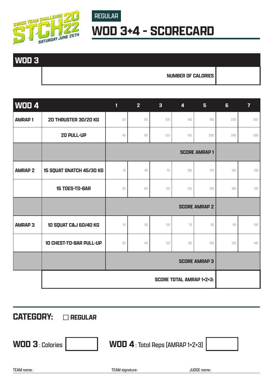

**WOD 3+4 - SCORECARD**

REGULAR

# **WOD 3**

#### **NUMBER OF CALORIES**

| WOD 4          |                                  | $\blacksquare$                  | $\overline{2}$    | $\overline{\mathbf{3}}$ | $\overline{\mathbf{4}}$ | 5 <sub>1</sub>                     | 6           | $\overline{7}$ |
|----------------|----------------------------------|---------------------------------|-------------------|-------------------------|-------------------------|------------------------------------|-------------|----------------|
| <b>AMRAP1</b>  | <b>20 THRUSTER 30/20 KG</b>      | 20                              | 60                | $100$                   | 140                     | 180                                | 220         | 260            |
|                | 20 PULL-UP                       | $40$                            | ${\sf B} {\sf D}$ | 120                     | 160                     | 200                                | 240         | 280            |
|                |                                  | <b>SCORE AMRAP1</b>             |                   |                         |                         |                                    |             |                |
| <b>AMRAP 2</b> | 15 SQUAT SNATCH 45/30 KG         | 15                              | 45                | 75                      | 105                     | 135                                | 165         | 195            |
|                | <b>15 TOES-TO-BAR</b>            | 30                              | 60                | $90\,$                  | 120                     | 150                                | 180         | $210\,$        |
|                |                                  |                                 |                   |                         |                         |                                    |             |                |
| <b>AMRAP3</b>  | <b>10 SQUAT C&amp;J 60/40 KG</b> | $1\Box$                         | 30                | 50                      | $70\,$                  | $\ensuremath{\mathsf{g}}\xspace_0$ | $11\square$ | 130            |
|                | 10 CHEST-TO-BAR PULL-UP          | 20                              | $\sqrt{4}$        | 60                      | $_{\rm 80}$             | $1\Box$                            | 120         | 140            |
|                |                                  | <b>SCORE AMRAP 3</b>            |                   |                         |                         |                                    |             |                |
|                |                                  | <b>SCORE TOTAL AMRAP 1+2+3:</b> |                   |                         |                         |                                    |             |                |

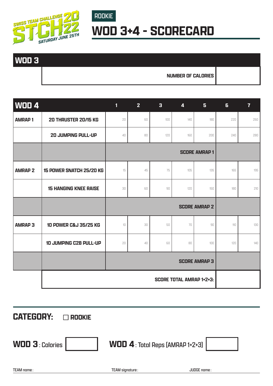

# ROOKIE **WOD 3+4 - SCORECARD**

# **WOD 3**

#### **NUMBER OF CALORIES**

| WOD 4          |                                  | 1                    | 2 <sup>1</sup>    | $\overline{\mathbf{3}}$ | $\overline{\mathbf{4}}$ | 5   | 6   | $\overline{7}$ |
|----------------|----------------------------------|----------------------|-------------------|-------------------------|-------------------------|-----|-----|----------------|
| <b>AMRAP1</b>  | <b>20 THRUSTER 20/15 KG</b>      | 20                   | 60                | $100$                   | 140                     | 180 | 220 | 260            |
|                | <b>20 JUMPING PULL-UP</b>        | 40                   | ${\sf B} {\sf D}$ | 120                     | 160                     | 200 | 240 | 280            |
|                |                                  | <b>SCORE AMRAP1</b>  |                   |                         |                         |     |     |                |
| <b>AMRAP 2</b> | <b>15 POWER SNATCH 25/20 KG</b>  | 15                   | 45                | 75                      | 105                     | 135 | 165 | 195            |
|                | <b>15 HANGING KNEE RAISE</b>     | 30                   | 60                | $90\,$                  | 120                     | 150 | 180 | 210            |
|                |                                  |                      |                   |                         |                         |     |     |                |
| <b>AMRAP3</b>  | <b>10 POWER C&amp;J 35/25 KG</b> | 10                   | 30                | 50                      | 70                      | 90  | 110 | 130            |
|                | 10 JUMPING C2B PULL-UP           | 20                   | 40                | 60                      | 80                      | 100 | 120 | 140            |
|                |                                  | <b>SCORE AMRAP 3</b> |                   |                         |                         |     |     |                |
|                | <b>SCORE TOTAL AMRAP 1+2+3:</b>  |                      |                   |                         |                         |     |     |                |

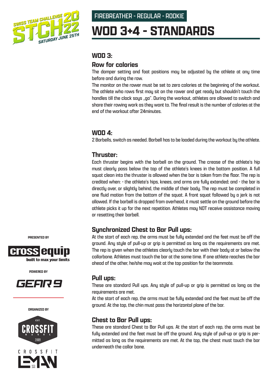

FIREBREATHER - REGULAR - ROOKIE

# **WOD 3+4 - STANDARDS**

### **WOD 3:**

### **Row for calories**

The damper setting and foot positions may be adjusted by the athlete at any time before and during the row.

The monitor on the rower must be set to zero calories at the beginning of the workout. The athlete who rows first may sit on the rower and get ready but shouldn't touch the handles till the clock says "go". During the workout, athletes are allowed to switch and share their rowing work as they want to. The final result is the number of calories at the end of the workout after 24minutes.

### **WOD 4:**

2 Barbells, switch as needed. Barbell has to be loaded during the workout by the athlete.

### **Thruster:**

Each thruster begins with the barbell on the ground. The crease of the athlete's hip must clearly pass below the top of the athlete's knees in the bottom position. A full squat clean into the thruster is allowed when the bar is taken from the floor. The rep is credited when: - the athlete's hips, knees, and arms are fully extended; and - the bar is directly over, or slightly behind, the middle of their body. The rep must be completed in one fluid motion from the bottom of the squat. A front squat followed by a jerk is not allowed. If the barbell is dropped from overhead, it must settle on the ground before the athlete picks it up for the next repetition. Athletes may NOT receive assistance moving or resetting their barbell.

### **Synchronized Chest to Bar Pull ups:**

At the start of each rep, the arms must be fully extended and the feet must be off the ground. Any style of pull-up or grip is permitted as long as the requirements are met. The rep is given when the athletes clearly touch the bar with their body at or below the collarbone. Athletes must touch the bar at the same time. If one athlete reaches the bar ahead of the other, he/she may wait at the top position for the teammate.

### **Pull ups:**

These are standard Pull ups. Any style of pull-up or grip is permitted as long as the requirements are met.

At the start of each rep, the arms must be fully extended and the feet must be off the ground. At the top, the chin must pass the horizontal plane of the bar.

### **Chest to Bar Pull ups:**

These are standard Chest to Bar Pull ups. At the start of each rep, the arms must be fully extended and the feet must be off the ground. Any style of pull-up or grip is permitted as long as the requirements are met. At the top, the chest must touch the bar underneath the collar bone.

**PRESENTED BY**



**POWERED BY**



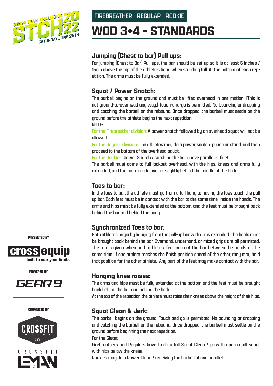

FIREBREATHER - REGULAR - ROOKIE

# **WOD 3+4 - STANDARDS**

### **Jumping (Chest to bar) Pull ups:**

For jumping (Chest to Bar) Pull ups, the bar should be set up so it is at least 6 inches / 15cm above the top of the athlete's head when standing tall. At the bottom of each repetition, The arms must be fully extended.

## **Squat / Power Snatch:**

The barbell begins on the ground and must be lifted overhead in one motion. (This is not ground-to-overhead any way.) Touch-and-go is permitted. No bouncing or dropping and catching the barbell on the rebound. Once dropped, the barbell must settle on the ground before the athlete begins the next repetition.

NOTE:

For the Firebreather division: A power snatch followed by an overhead squat will not be allowed.

For the Regular division: The athletes may do a power snatch, pause or stand, and then proceed to the bottom of the overhead squat.

For the Rookies: Power Snatch / catching the bar above parallel is fine!

The barbell must come to full lockout overhead, with the hips, knees and arms fully extended, and the bar directly over or slightly behind the middle of the body.

### **Toes to bar:**

In the toes to bar, the athlete must go from a full hang to having the toes touch the pull up bar. Both feet must be in contact with the bar at the same time, inside the hands. The arms and hips must be fully extended at the bottom, and the feet must be brought back behind the bar and behind the body.

### **Synchronized Toes to bar:**

Both athletes begin by hanging from the pull-up bar with arms extended. The heels must be brought back behind the bar. Overhand, underhand, or mixed grips are all permitted. The rep is given when both athletes' feet contact the bar between the hands at the same time. If one athlete reaches the finish position ahead of the other, they may hold that position for the other athlete. Any part of the feet may make contact with the bar.

### **Hanging knee raises:**

The arms and hips must be fully extended at the bottom and the feet must be brought back behind the bar and behind the body.

At the top of the repetition the athlete must raise their knees above the height of their hips.

## **Squat Clean & Jerk:**

The barbell begins on the ground. Touch and go is permitted. No bouncing or dropping and catching the barbell on the rebound. Once dropped, the barbell must settle on the ground before beginning the next repetition.

For the Clean:

Firebreathers and Regulars have to do a full Squat Clean / pass through a full squat with hips below the knees.

Rookies may do a Power Clean / receiving the barbell above parallel.

**PRESENTED BY**



**POWERED BY**



**ORGANIZED BY**